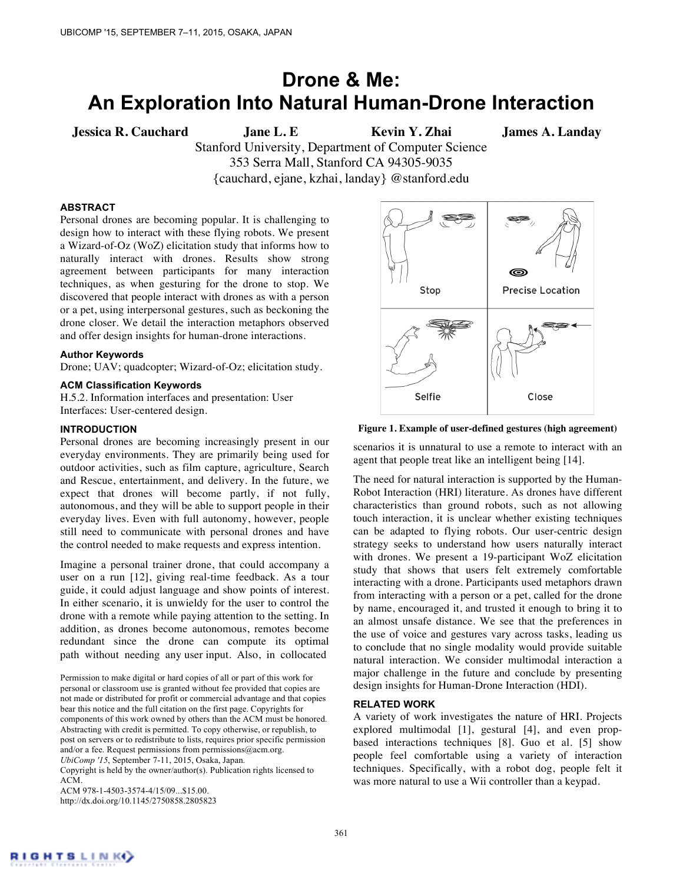# **Drone & Me: An Exploration Into Natural Human-Drone Interaction**

**Jessica R. Cauchard Jane L. E Kevin Y. Zhai James A. Landay**

Stanford University, Department of Computer Science 353 Serra Mall, Stanford CA 94305-9035 {cauchard, ejane, kzhai, landay} @stanford.edu

# **ABSTRACT**

Personal drones are becoming popular. It is challenging to design how to interact with these flying robots. We present a Wizard-of-Oz (WoZ) elicitation study that informs how to naturally interact with drones. Results show strong agreement between participants for many interaction techniques, as when gesturing for the drone to stop. We discovered that people interact with drones as with a person or a pet, using interpersonal gestures, such as beckoning the drone closer. We detail the interaction metaphors observed and offer design insights for human-drone interactions.

# **Author Keywords**

Drone; UAV; quadcopter; Wizard-of-Oz; elicitation study.

# **ACM Classification Keywords**

H.5.2. Information interfaces and presentation: User Interfaces: User-centered design.

# **INTRODUCTION**

Personal drones are becoming increasingly present in our everyday environments. They are primarily being used for outdoor activities, such as film capture, agriculture, Search and Rescue, entertainment, and delivery. In the future, we expect that drones will become partly, if not fully, autonomous, and they will be able to support people in their everyday lives. Even with full autonomy, however, people still need to communicate with personal drones and have the control needed to make requests and express intention.

Imagine a personal trainer drone, that could accompany a user on a run [12], giving real-time feedback. As a tour guide, it could adjust language and show points of interest. In either scenario, it is unwieldy for the user to control the drone with a remote while paying attention to the setting. In addition, as drones become autonomous, remotes become redundant since the drone can compute its optimal path without needing any user input. Also, in collocated

Permission to make digital or hard copies of all or part of this work for personal or classroom use is granted without fee provided that copies are not made or distributed for profit or commercial advantage and that copies bear this notice and the full citation on the first page. Copyrights for components of this work owned by others than the ACM must be honored. Abstracting with credit is permitted. To copy otherwise, or republish, to post on servers or to redistribute to lists, requires prior specific permission and/or a fee. Request permissions from permissions@acm.org.

*UbiComp '15*, September 7-11, 2015, Osaka, Japan.

Copyright is held by the owner/author(s). Publication rights licensed to ACM.

ACM 978-1-4503-3574-4/15/09...\$15.00.

http://dx.doi.org/10.1145/2750858.2805823



**Figure 1. Example of user-defined gestures (high agreement)**

scenarios it is unnatural to use a remote to interact with an agent that people treat like an intelligent being [14].

The need for natural interaction is supported by the Human-Robot Interaction (HRI) literature. As drones have different characteristics than ground robots, such as not allowing touch interaction, it is unclear whether existing techniques can be adapted to flying robots. Our user-centric design strategy seeks to understand how users naturally interact with drones. We present a 19-participant WoZ elicitation study that shows that users felt extremely comfortable interacting with a drone. Participants used metaphors drawn from interacting with a person or a pet, called for the drone by name, encouraged it, and trusted it enough to bring it to an almost unsafe distance. We see that the preferences in the use of voice and gestures vary across tasks, leading us to conclude that no single modality would provide suitable natural interaction. We consider multimodal interaction a major challenge in the future and conclude by presenting design insights for Human-Drone Interaction (HDI).

# **RELATED WORK**

A variety of work investigates the nature of HRI. Projects explored multimodal [1], gestural [4], and even propbased interactions techniques [8]. Guo et al. [5] show people feel comfortable using a variety of interaction techniques. Specifically, with a robot dog, people felt it was more natural to use a Wii controller than a keypad.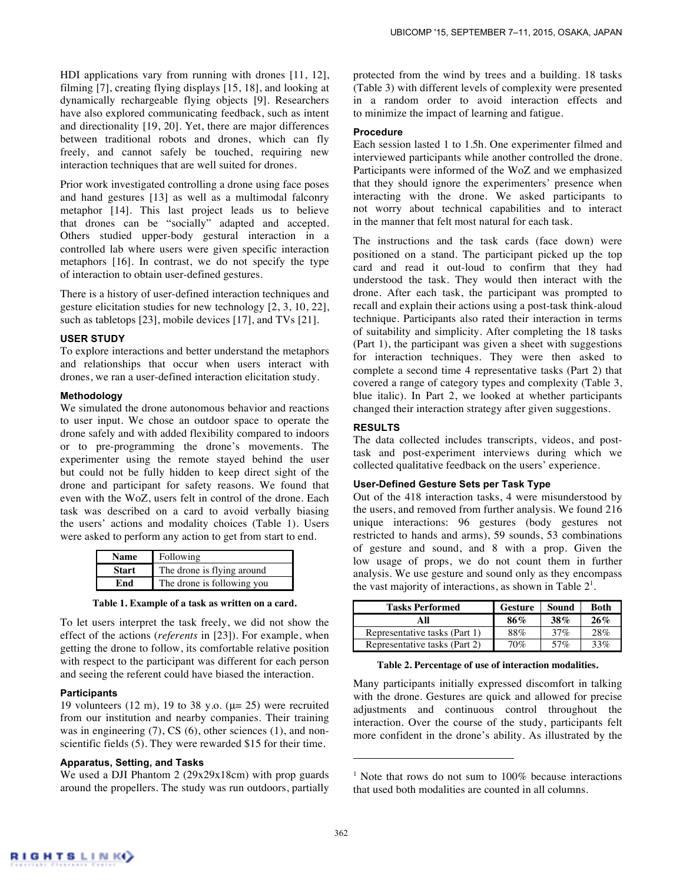HDI applications vary from running with drones [11, 12], filming [7], creating flying displays [15, 18], and looking at dynamically rechargeable flying objects [9]. Researchers have also explored communicating feedback, such as intent and directionality [19, 20]. Yet, there are major differences between traditional robots and drones, which can fly freely, and cannot safely be touched, requiring new interaction techniques that are well suited for drones.

Prior work investigated controlling a drone using face poses and hand gestures [13] as well as a multimodal falconry metaphor [14]. This last project leads us to believe that drones can be "socially" adapted and accepted. Others studied upper-body gestural interaction in a controlled lab where users were given specific interaction metaphors [16]. In contrast, we do not specify the type of interaction to obtain user-defined gestures.

There is a history of user-defined interaction techniques and gesture elicitation studies for new technology [2, 3, 10, 22], such as tabletops [23], mobile devices [17], and TVs [21].

## **USER STUDY**

To explore interactions and better understand the metaphors and relationships that occur when users interact with drones, we ran a user-defined interaction elicitation study.

# **Methodology**

We simulated the drone autonomous behavior and reactions to user input. We chose an outdoor space to operate the drone safely and with added flexibility compared to indoors or to pre-programming the drone's movements. The experimenter using the remote stayed behind the user but could not be fully hidden to keep direct sight of the drone and participant for safety reasons. We found that even with the WoZ, users felt in control of the drone. Each task was described on a card to avoid verbally biasing the users' actions and modality choices (Table 1). Users were asked to perform any action to get from start to end.

| <b>Name</b>  | Following                  |
|--------------|----------------------------|
| <b>Start</b> | The drone is flying around |
| End          | The drone is following you |

|  | Table 1. Example of a task as written on a card. |  |  |  |  |  |
|--|--------------------------------------------------|--|--|--|--|--|
|--|--------------------------------------------------|--|--|--|--|--|

To let users interpret the task freely, we did not show the effect of the actions (*referents* in [23]). For example, when getting the drone to follow, its comfortable relative position with respect to the participant was different for each person and seeing the referent could have biased the interaction.

# **Participants**

19 volunteers  $(12 \text{ m})$ , 19 to 38 y.o.  $(\mu=25)$  were recruited from our institution and nearby companies. Their training was in engineering (7), CS (6), other sciences (1), and nonscientific fields (5). They were rewarded \$15 for their time.

# **Apparatus, Setting, and Tasks**

We used a DJI Phantom 2 (29x29x18cm) with prop guards around the propellers. The study was run outdoors, partially protected from the wind by trees and a building. 18 tasks (Table 3) with different levels of complexity were presented in a random order to avoid interaction effects and to minimize the impact of learning and fatigue.

## **Procedure**

Each session lasted 1 to 1.5h. One experimenter filmed and interviewed participants while another controlled the drone. Participants were informed of the WoZ and we emphasized that they should ignore the experimenters' presence when interacting with the drone. We asked participants to not worry about technical capabilities and to interact in the manner that felt most natural for each task.

The instructions and the task cards (face down) were positioned on a stand. The participant picked up the top card and read it out-loud to confirm that they had understood the task. They would then interact with the drone. After each task, the participant was prompted to recall and explain their actions using a post-task think-aloud technique. Participants also rated their interaction in terms of suitability and simplicity. After completing the 18 tasks (Part 1), the participant was given a sheet with suggestions for interaction techniques. They were then asked to complete a second time 4 representative tasks (Part 2) that covered a range of category types and complexity (Table 3, blue italic). In Part 2, we looked at whether participants changed their interaction strategy after given suggestions.

# **RESULTS**

The data collected includes transcripts, videos, and posttask and post-experiment interviews during which we collected qualitative feedback on the users' experience.

## **User-Defined Gesture Sets per Task Type**

Out of the 418 interaction tasks, 4 were misunderstood by the users, and removed from further analysis. We found 216 unique interactions: 96 gestures (body gestures not restricted to hands and arms), 59 sounds, 53 combinations of gesture and sound, and 8 with a prop. Given the low usage of props, we do not count them in further analysis. We use gesture and sound only as they encompass the vast majority of interactions, as shown in Table  $2<sup>1</sup>$ .

| <b>Tasks Performed</b>        | Gesture | Sound | <b>Both</b> |  |
|-------------------------------|---------|-------|-------------|--|
| AĦ                            | 86%     | 38%   | 26%         |  |
| Representative tasks (Part 1) | 88%     | 37%   | 28%         |  |
| Representative tasks (Part 2) | 70%     | 57%   | 33%         |  |

**Table 2. Percentage of use of interaction modalities.**

Many participants initially expressed discomfort in talking with the drone. Gestures are quick and allowed for precise adjustments and continuous control throughout the interaction. Over the course of the study, participants felt more confident in the drone's ability. As illustrated by the

j

<sup>&</sup>lt;sup>1</sup> Note that rows do not sum to  $100\%$  because interactions that used both modalities are counted in all columns.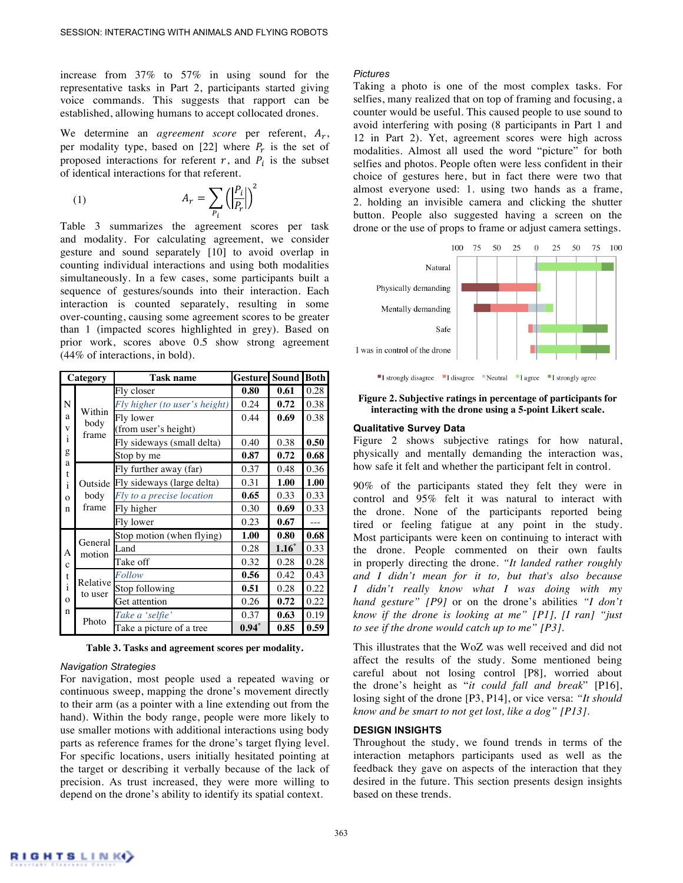increase from 37% to 57% in using sound for the representative tasks in Part 2, participants started giving voice commands. This suggests that rapport can be established, allowing humans to accept collocated drones.

We determine an *agreement score* per referent,  $A_r$ , per modality type, based on [22] where  $P_r$  is the set of proposed interactions for referent  $r$ , and  $P_i$  is the subset of identical interactions for that referent.

$$
(1) \t A_r = \sum_{P_i} \left( \left| \frac{P_i}{P_r} \right| \right)^2
$$

Table 3 summarizes the agreement scores per task and modality. For calculating agreement, we consider gesture and sound separately [10] to avoid overlap in counting individual interactions and using both modalities simultaneously. In a few cases, some participants built a sequence of gestures/sounds into their interaction. Each interaction is counted separately, resulting in some over-counting, causing some agreement scores to be greater than 1 (impacted scores highlighted in grey). Based on prior work, scores above 0.5 show strong agreement (44% of interactions, in bold).

| Category                                                      |                     | <b>Task name</b>                   | <b>Gesture Sound Both</b> |         |      |
|---------------------------------------------------------------|---------------------|------------------------------------|---------------------------|---------|------|
|                                                               |                     | Fly closer                         | 0.80                      | 0.61    | 0.28 |
| N                                                             |                     | Fly higher (to user's height)      | 0.24                      | 0.72    | 0.38 |
| a                                                             | Within              | Fly lower                          | 0.44                      | 0.69    | 0.38 |
| V                                                             | body<br>frame       | (from user's height)               |                           |         |      |
| $\mathbf{i}$                                                  |                     | Fly sideways (small delta)         | 0.40                      | 0.38    | 0.50 |
| g                                                             |                     | Stop by me                         | 0.87                      | 0.72    | 0.68 |
| a<br>t                                                        | body<br>frame       | Fly further away (far)             | 0.37                      | 0.48    | 0.36 |
| $\mathbf{i}$                                                  |                     | Outside Fly sideways (large delta) | 0.31                      | 1.00    | 1.00 |
| $\Omega$                                                      |                     | Fly to a precise location          | 0.65                      | 0.33    | 0.33 |
| n                                                             |                     | Fly higher                         | 0.30                      | 0.69    | 0.33 |
|                                                               |                     | Fly lower                          | 0.23                      | 0.67    |      |
|                                                               | General<br>motion   | Stop motion (when flying)          | 1.00                      | 0.80    | 0.68 |
| A<br>$\ddot{\text{c}}$<br>t<br>$\frac{1}{1}$<br>$\Omega$<br>n |                     | Land                               | 0.28                      | $1.16*$ | 0.33 |
|                                                               |                     | Take off                           | 0.32                      | 0.28    | 0.28 |
|                                                               | Relative<br>to user | Follow                             | 0.56                      | 0.42    | 0.43 |
|                                                               |                     | Stop following                     | 0.51                      | 0.28    | 0.22 |
|                                                               |                     | Get attention                      | 0.26                      | 0.72    | 0.22 |
|                                                               | Photo               | Take a 'selfie'                    | 0.37                      | 0.63    | 0.19 |
|                                                               |                     | Take a picture of a tree           | $0.94*$                   | 0.85    | 0.59 |

**Table 3. Tasks and agreement scores per modality.**

#### *Navigation Strategies*

For navigation, most people used a repeated waving or continuous sweep, mapping the drone's movement directly to their arm (as a pointer with a line extending out from the hand). Within the body range, people were more likely to use smaller motions with additional interactions using body parts as reference frames for the drone's target flying level. For specific locations, users initially hesitated pointing at the target or describing it verbally because of the lack of precision. As trust increased, they were more willing to depend on the drone's ability to identify its spatial context.

#### *Pictures*

Taking a photo is one of the most complex tasks. For selfies, many realized that on top of framing and focusing, a counter would be useful. This caused people to use sound to avoid interfering with posing (8 participants in Part 1 and 12 in Part 2). Yet, agreement scores were high across modalities. Almost all used the word "picture" for both selfies and photos. People often were less confident in their choice of gestures here, but in fact there were two that almost everyone used: 1. using two hands as a frame, 2. holding an invisible camera and clicking the shutter button. People also suggested having a screen on the drone or the use of props to frame or adjust camera settings.



"I strongly disagree "I disagree "Neutral I agree "I strongly agree

**Figure 2. Subjective ratings in percentage of participants for interacting with the drone using a 5-point Likert scale.**

## **Qualitative Survey Data**

Figure 2 shows subjective ratings for how natural, physically and mentally demanding the interaction was, how safe it felt and whether the participant felt in control.

90% of the participants stated they felt they were in control and 95% felt it was natural to interact with the drone. None of the participants reported being tired or feeling fatigue at any point in the study. Most participants were keen on continuing to interact with the drone. People commented on their own faults in properly directing the drone. *"It landed rather roughly and I didn't mean for it to, but that's also because I didn't really know what I was doing with my hand gesture" [P9]* or on the drone's abilities *"I don't know if the drone is looking at me" [P1], [I ran] "just to see if the drone would catch up to me" [P3].*

This illustrates that the WoZ was well received and did not affect the results of the study. Some mentioned being careful about not losing control [P8], worried about the drone's height as "*it could fall and break*" [P16], losing sight of the drone [P3, P14], or vice versa: *"It should know and be smart to not get lost, like a dog" [P13].*

## **DESIGN INSIGHTS**

Throughout the study, we found trends in terms of the interaction metaphors participants used as well as the feedback they gave on aspects of the interaction that they desired in the future. This section presents design insights based on these trends.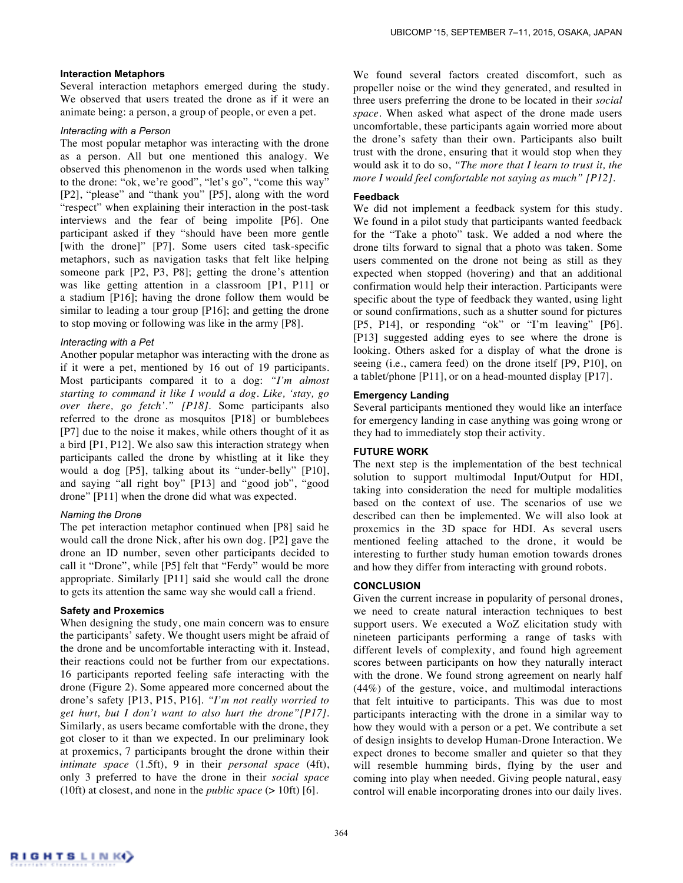#### **Interaction Metaphors**

Several interaction metaphors emerged during the study. We observed that users treated the drone as if it were an animate being: a person, a group of people, or even a pet.

## *Interacting with a Person*

The most popular metaphor was interacting with the drone as a person. All but one mentioned this analogy. We observed this phenomenon in the words used when talking to the drone: "ok, we're good", "let's go", "come this way" [P2], "please" and "thank you" [P5], along with the word "respect" when explaining their interaction in the post-task interviews and the fear of being impolite [P6]. One participant asked if they "should have been more gentle [with the drone]" [P7]. Some users cited task-specific metaphors, such as navigation tasks that felt like helping someone park [P2, P3, P8]; getting the drone's attention was like getting attention in a classroom [P1, P11] or a stadium [P16]; having the drone follow them would be similar to leading a tour group [P16]; and getting the drone to stop moving or following was like in the army [P8].

#### *Interacting with a Pet*

Another popular metaphor was interacting with the drone as if it were a pet, mentioned by 16 out of 19 participants. Most participants compared it to a dog: *"I'm almost starting to command it like I would a dog. Like, 'stay, go over there, go fetch'." [P18]*. Some participants also referred to the drone as mosquitos [P18] or bumblebees [P7] due to the noise it makes, while others thought of it as a bird [P1, P12]. We also saw this interaction strategy when participants called the drone by whistling at it like they would a dog [P5], talking about its "under-belly" [P10], and saying "all right boy" [P13] and "good job", "good drone" [P11] when the drone did what was expected.

# *Naming the Drone*

The pet interaction metaphor continued when [P8] said he would call the drone Nick, after his own dog. [P2] gave the drone an ID number, seven other participants decided to call it "Drone", while [P5] felt that "Ferdy" would be more appropriate. Similarly [P11] said she would call the drone to gets its attention the same way she would call a friend.

## **Safety and Proxemics**

When designing the study, one main concern was to ensure the participants' safety. We thought users might be afraid of the drone and be uncomfortable interacting with it. Instead, their reactions could not be further from our expectations. 16 participants reported feeling safe interacting with the drone (Figure 2). Some appeared more concerned about the drone's safety [P13, P15, P16]. *"I'm not really worried to get hurt, but I don't want to also hurt the drone"[P17]*. Similarly, as users became comfortable with the drone, they got closer to it than we expected. In our preliminary look at proxemics, 7 participants brought the drone within their *intimate space* (1.5ft), 9 in their *personal space* (4ft), only 3 preferred to have the drone in their *social space* (10ft) at closest, and none in the *public space* (> 10ft) [6].

We found several factors created discomfort, such as propeller noise or the wind they generated, and resulted in three users preferring the drone to be located in their *social space*. When asked what aspect of the drone made users uncomfortable, these participants again worried more about the drone's safety than their own. Participants also built trust with the drone, ensuring that it would stop when they would ask it to do so, *"The more that I learn to trust it, the more I would feel comfortable not saying as much" [P12].*

## **Feedback**

We did not implement a feedback system for this study. We found in a pilot study that participants wanted feedback for the "Take a photo" task. We added a nod where the drone tilts forward to signal that a photo was taken. Some users commented on the drone not being as still as they expected when stopped (hovering) and that an additional confirmation would help their interaction. Participants were specific about the type of feedback they wanted, using light or sound confirmations, such as a shutter sound for pictures [P5, P14], or responding "ok" or "I'm leaving" [P6]. [P13] suggested adding eyes to see where the drone is looking. Others asked for a display of what the drone is seeing (i.e., camera feed) on the drone itself [P9, P10], on a tablet/phone [P11], or on a head-mounted display [P17].

#### **Emergency Landing**

Several participants mentioned they would like an interface for emergency landing in case anything was going wrong or they had to immediately stop their activity.

#### **FUTURE WORK**

The next step is the implementation of the best technical solution to support multimodal Input/Output for HDI, taking into consideration the need for multiple modalities based on the context of use. The scenarios of use we described can then be implemented. We will also look at proxemics in the 3D space for HDI. As several users mentioned feeling attached to the drone, it would be interesting to further study human emotion towards drones and how they differ from interacting with ground robots.

## **CONCLUSION**

Given the current increase in popularity of personal drones, we need to create natural interaction techniques to best support users. We executed a WoZ elicitation study with nineteen participants performing a range of tasks with different levels of complexity, and found high agreement scores between participants on how they naturally interact with the drone. We found strong agreement on nearly half (44%) of the gesture, voice, and multimodal interactions that felt intuitive to participants. This was due to most participants interacting with the drone in a similar way to how they would with a person or a pet. We contribute a set of design insights to develop Human-Drone Interaction. We expect drones to become smaller and quieter so that they will resemble humming birds, flying by the user and coming into play when needed. Giving people natural, easy control will enable incorporating drones into our daily lives.